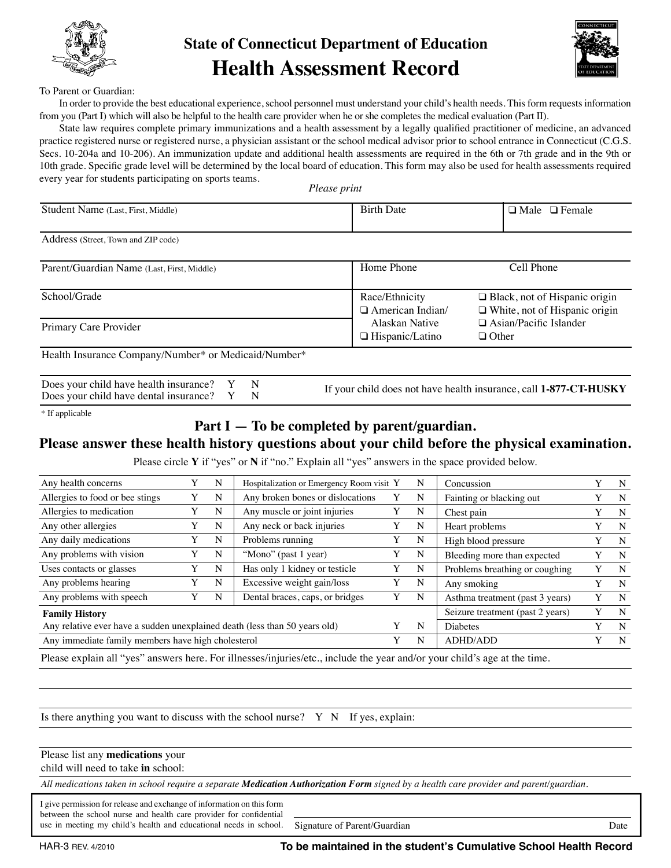

# **State of Connecticut Department of Education Health Assessment Record**



#### To Parent or Guardian:

In order to provide the best educational experience, school personnel must understand your child's health needs. This form requests information from you (Part I) which will also be helpful to the health care provider when he or she completes the medical evaluation (Part II).

State law requires complete primary immunizations and a health assessment by a legally qualified practitioner of medicine, an advanced practice registered nurse or registered nurse, a physician assistant or the school medical advisor prior to school entrance in Connecticut (C.G.S. Secs. 10-204a and 10-206). An immunization update and additional health assessments are required in the 6th or 7th grade and in the 9th or 10th grade. Specific grade level will be determined by the local board of education. This form may also be used for health assessments required every year for students participating on sports teams.

*Please print*

| Student Name (Last, First, Middle)                   | <b>Birth Date</b>                        | $\Box$ Male $\Box$ Female                                                    |
|------------------------------------------------------|------------------------------------------|------------------------------------------------------------------------------|
| Address (Street, Town and ZIP code)                  |                                          |                                                                              |
| Parent/Guardian Name (Last, First, Middle)           | Home Phone                               | Cell Phone                                                                   |
| School/Grade                                         | Race/Ethnicity<br>□ American Indian/     | $\Box$ Black, not of Hispanic origin<br>$\Box$ White, not of Hispanic origin |
| Primary Care Provider                                | Alaskan Native<br>$\Box$ Hispanic/Latino | $\Box$ Asian/Pacific Islander<br>$\Box$ Other                                |
| Health Insurance Company/Number* or Medicaid/Number* |                                          |                                                                              |

| Does your child have health insurance? Y | $\mathbf N$ |
|------------------------------------------|-------------|
| Does your child have dental insurance? Y | N           |

If your child does not have health insurance, call **1-877-CT-HUSKY**

\* If applicable

### **Part I — To be completed by parent/guardian.**

### **Please answer these health history questions about your child before the physical examination.**

Please circle **Y** if "yes" or **N** if "no." Explain all "yes" answers in the space provided below.

| Any health concerns                                                        |  | N | Hospitalization or Emergency Room visit Y |  | N | Concussion                       |   | N |
|----------------------------------------------------------------------------|--|---|-------------------------------------------|--|---|----------------------------------|---|---|
| Allergies to food or bee stings                                            |  | N | Any broken bones or dislocations          |  | N | Fainting or blacking out         |   | N |
| Allergies to medication                                                    |  | N | Any muscle or joint injuries              |  | N | Chest pain                       |   | N |
| Any other allergies                                                        |  | N | Any neck or back injuries                 |  | N | Heart problems                   |   | N |
| Any daily medications                                                      |  | N | Problems running                          |  | N | High blood pressure              |   | N |
| Any problems with vision                                                   |  | N | "Mono" (past 1 year)                      |  | N | Bleeding more than expected      |   | N |
| Uses contacts or glasses                                                   |  | N | Has only 1 kidney or testicle             |  | N | Problems breathing or coughing   |   | N |
| Any problems hearing                                                       |  | N | Excessive weight gain/loss                |  | N | Any smoking                      |   | N |
| Any problems with speech                                                   |  | N | Dental braces, caps, or bridges           |  | N | Asthma treatment (past 3 years)  | Y | N |
| <b>Family History</b>                                                      |  |   |                                           |  |   | Seizure treatment (past 2 years) | Y | N |
| Any relative ever have a sudden unexplained death (less than 50 years old) |  |   |                                           |  |   | Diabetes                         |   | N |
| Any immediate family members have high cholesterol                         |  |   |                                           |  |   | <b>ADHD/ADD</b>                  | Y | N |
|                                                                            |  |   |                                           |  |   |                                  |   |   |

Please explain all "yes" answers here. For illnesses/injuries/etc., include the year and/or your child's age at the time.

Is there anything you want to discuss with the school nurse?  $Y \ N$  If yes, explain:

#### Please list any **medications** your

child will need to take **in** school:

*All medications taken in school require a separate Medication Authorization Form signed by a health care provider and parent/guardian.*

I give permission for release and exchange of information on this form between the school nurse and health care provider for confidential use in meeting my child's health and educational needs in school. Signature of Parent/Guardian Date

٦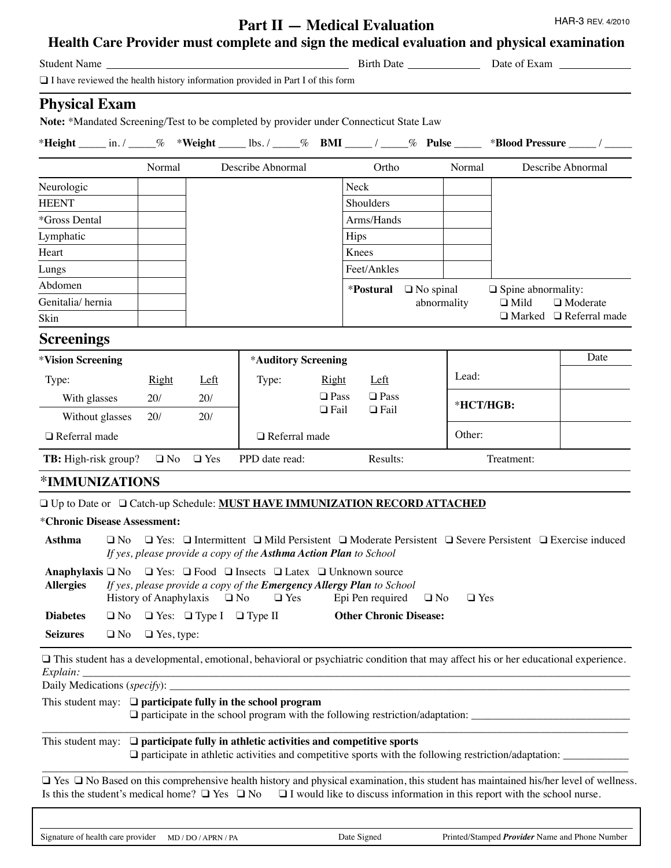## **Part II — Medical Evaluation**

HAR-3 REV. 4/2010

| Student Name <b>Student</b> Name                                                      |                 |                   |                                          |                                                                   |                |                                                                                                                                                                        |                         |                                                                                                                                           | Birth Date <u>Date</u> Date of Exam                                                                                                          |
|---------------------------------------------------------------------------------------|-----------------|-------------------|------------------------------------------|-------------------------------------------------------------------|----------------|------------------------------------------------------------------------------------------------------------------------------------------------------------------------|-------------------------|-------------------------------------------------------------------------------------------------------------------------------------------|----------------------------------------------------------------------------------------------------------------------------------------------|
| $\Box$ I have reviewed the health history information provided in Part I of this form |                 |                   |                                          |                                                                   |                |                                                                                                                                                                        |                         |                                                                                                                                           |                                                                                                                                              |
| <b>Physical Exam</b>                                                                  |                 |                   |                                          |                                                                   |                | Note: *Mandated Screening/Test to be completed by provider under Connecticut State Law                                                                                 |                         |                                                                                                                                           |                                                                                                                                              |
|                                                                                       |                 |                   |                                          |                                                                   |                |                                                                                                                                                                        |                         |                                                                                                                                           | *Height _____ in. / _____% *Weight ______ lbs. / _____% BMI _____ / _____% Pulse _____ *Blood Pressure _____ / _____                         |
|                                                                                       |                 | Normal            |                                          | Describe Abnormal                                                 |                | Ortho                                                                                                                                                                  | Normal                  |                                                                                                                                           | Describe Abnormal                                                                                                                            |
| Neurologic                                                                            |                 |                   |                                          |                                                                   |                | Neck                                                                                                                                                                   |                         |                                                                                                                                           |                                                                                                                                              |
| <b>HEENT</b>                                                                          |                 |                   |                                          |                                                                   |                | Shoulders                                                                                                                                                              |                         |                                                                                                                                           |                                                                                                                                              |
| *Gross Dental                                                                         |                 |                   |                                          |                                                                   |                | Arms/Hands                                                                                                                                                             |                         |                                                                                                                                           |                                                                                                                                              |
| Lymphatic                                                                             |                 |                   |                                          |                                                                   |                | Hips                                                                                                                                                                   |                         |                                                                                                                                           |                                                                                                                                              |
| Heart                                                                                 |                 |                   |                                          |                                                                   |                | Knees                                                                                                                                                                  |                         |                                                                                                                                           |                                                                                                                                              |
| Lungs                                                                                 |                 |                   |                                          |                                                                   |                | Feet/Ankles                                                                                                                                                            |                         |                                                                                                                                           |                                                                                                                                              |
| Abdomen                                                                               |                 |                   |                                          |                                                                   |                | *Postural □ No spinal                                                                                                                                                  |                         | $\Box$ Spine abnormality:                                                                                                                 |                                                                                                                                              |
| Genitalia/hernia                                                                      |                 |                   |                                          |                                                                   |                |                                                                                                                                                                        | abnormality             | $\Box$ Mild                                                                                                                               | $\Box$ Moderate                                                                                                                              |
| Skin                                                                                  |                 |                   |                                          |                                                                   |                |                                                                                                                                                                        |                         |                                                                                                                                           | $\Box$ Marked $\Box$ Referral made                                                                                                           |
| <b>Screenings</b>                                                                     |                 |                   |                                          |                                                                   |                |                                                                                                                                                                        |                         |                                                                                                                                           |                                                                                                                                              |
| *Vision Screening                                                                     |                 |                   |                                          | *Auditory Screening                                               |                |                                                                                                                                                                        |                         |                                                                                                                                           | Date                                                                                                                                         |
| Type:                                                                                 |                 | <b>Right</b>      | Left                                     | Type:                                                             | <b>Right</b>   | Left                                                                                                                                                                   | Lead:                   |                                                                                                                                           |                                                                                                                                              |
| With glasses                                                                          |                 | 20/               | 20/                                      |                                                                   | $\square$ Pass | $\square$ Pass                                                                                                                                                         |                         | *HCT/HGB:                                                                                                                                 |                                                                                                                                              |
|                                                                                       | Without glasses | 20/               | 20/                                      |                                                                   | $\Box$ Fail    | $\Box$ Fail                                                                                                                                                            |                         |                                                                                                                                           |                                                                                                                                              |
| $\Box$ Referral made                                                                  |                 |                   |                                          | $\Box$ Referral made                                              |                |                                                                                                                                                                        | Other:                  |                                                                                                                                           |                                                                                                                                              |
| TB: High-risk group?                                                                  |                 |                   | $\Box$ No $\Box$ Yes                     | PPD date read:                                                    |                | Results:                                                                                                                                                               |                         | Treatment:                                                                                                                                |                                                                                                                                              |
| *IMMUNIZATIONS                                                                        |                 |                   |                                          |                                                                   |                |                                                                                                                                                                        |                         |                                                                                                                                           |                                                                                                                                              |
| □ Up to Date or □ Catch-up Schedule: MUST HAVE IMMUNIZATION RECORD ATTACHED           |                 |                   |                                          |                                                                   |                |                                                                                                                                                                        |                         |                                                                                                                                           |                                                                                                                                              |
| *Chronic Disease Assessment:                                                          |                 |                   |                                          |                                                                   |                |                                                                                                                                                                        |                         |                                                                                                                                           |                                                                                                                                              |
| Asthma                                                                                |                 |                   |                                          | If yes, please provide a copy of the Asthma Action Plan to School |                |                                                                                                                                                                        |                         |                                                                                                                                           | $\Box$ No $\Box$ Yes: $\Box$ Intermittent $\Box$ Mild Persistent $\Box$ Moderate Persistent $\Box$ Severe Persistent $\Box$ Exercise induced |
| Anaphylaxis □ No<br><b>Allergies</b>                                                  |                 |                   | History of Anaphylaxis $\Box$ No         | $\Box$ Yes                                                        |                | $\Box$ Yes: $\Box$ Food $\Box$ Insects $\Box$ Latex $\Box$ Unknown source<br>If yes, please provide a copy of the Emergency Allergy Plan to School<br>Epi Pen required | $\Box$ No<br>$\Box$ Yes |                                                                                                                                           |                                                                                                                                              |
| <b>Diabetes</b>                                                                       | $\square$ No    |                   | $\Box$ Yes: $\Box$ Type I $\Box$ Type II |                                                                   |                | <b>Other Chronic Disease:</b>                                                                                                                                          |                         |                                                                                                                                           |                                                                                                                                              |
| <b>Seizures</b>                                                                       | $\Box$ No       | $\Box$ Yes, type: |                                          |                                                                   |                |                                                                                                                                                                        |                         |                                                                                                                                           |                                                                                                                                              |
| Explain:                                                                              |                 |                   |                                          |                                                                   |                |                                                                                                                                                                        |                         |                                                                                                                                           | $\Box$ This student has a developmental, emotional, behavioral or psychiatric condition that may affect his or her educational experience.   |
|                                                                                       |                 |                   |                                          |                                                                   |                |                                                                                                                                                                        |                         |                                                                                                                                           |                                                                                                                                              |
|                                                                                       |                 |                   |                                          | This student may: $\Box$ participate fully in the school program  |                |                                                                                                                                                                        |                         |                                                                                                                                           |                                                                                                                                              |
|                                                                                       |                 |                   |                                          |                                                                   |                | This student may: $\Box$ participate fully in athletic activities and competitive sports                                                                               |                         |                                                                                                                                           | $\Box$ participate in athletic activities and competitive sports with the following restriction/adaptation: $\Box$                           |
|                                                                                       |                 |                   |                                          |                                                                   |                |                                                                                                                                                                        |                         | Is this the student's medical home? $\Box$ Yes $\Box$ No $\Box$ I would like to discuss information in this report with the school nurse. | □ Yes □ No Based on this comprehensive health history and physical examination, this student has maintained his/her level of wellness.       |
|                                                                                       |                 |                   |                                          |                                                                   |                |                                                                                                                                                                        |                         |                                                                                                                                           |                                                                                                                                              |
|                                                                                       |                 |                   |                                          |                                                                   |                |                                                                                                                                                                        |                         |                                                                                                                                           |                                                                                                                                              |

Signature of health care provider MD/DO/APRN/PA Date Signed Printed/Stamped *Provider* Name and Phone Number